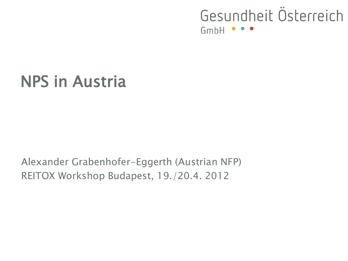# NPS in Austria

Alexander Grabenhofer-Eggerth (Austrian NFP) REITOX Workshop Budapest, 19./20.4. 2012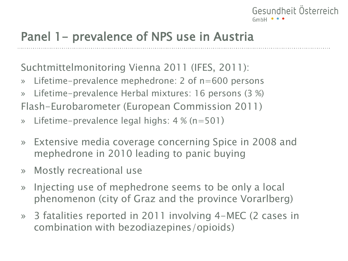# Panel 1 – prevalence of NPS use in Austria

Suchtmittelmonitoring Vienna 2011 (IFES, 2011):

- » Lifetime-prevalence mephedrone: 2 of n=600 persons
- » Lifetime-prevalence Herbal mixtures: 16 persons (3 %) Flash-Eurobarometer (European Commission 2011)
- » Lifetime-prevalence legal highs: 4 % (n=501)
- » Extensive media coverage concerning Spice in 2008 and mephedrone in 2010 leading to panic buying
- » Mostly recreational use
- » Injecting use of mephedrone seems to be only a local phenomenon (city of Graz and the province Vorarlberg)
- » 3 fatalities reported in 2011 involving 4-MEC (2 cases in combination with bezodiazepines/opioids)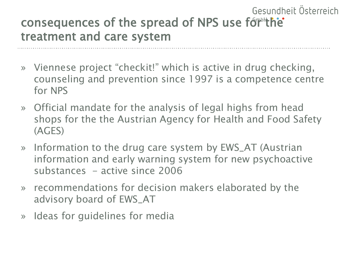#### Gesundheit Österreich consequences of the spread of NPS use for the treatment and care system

- » Viennese project "checkit!" which is active in drug checking, counseling and prevention since 1997 is a competence centre for NPS
- » Official mandate for the analysis of legal highs from head shops for the the Austrian Agency for Health and Food Safety (AGES)
- » Information to the drug care system by EWS\_AT (Austrian information and early warning system for new psychoactive substances - active since 2006
- » recommendations for decision makers elaborated by the advisory board of EWS\_AT
- » Ideas for guidelines for media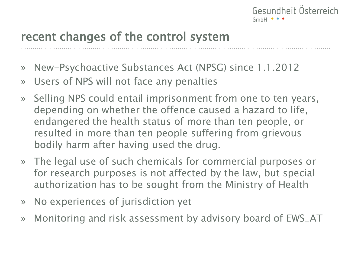### recent changes of the control system

- » New-Psychoactive Substances Act (NPSG) since 1.1.2012
- » Users of NPS will not face any penalties
- » Selling NPS could entail imprisonment from one to ten years, depending on whether the offence caused a hazard to life, endangered the health status of more than ten people, or resulted in more than ten people suffering from grievous bodily harm after having used the drug.
- » The legal use of such chemicals for commercial purposes or for research purposes is not affected by the law, but special authorization has to be sought from the Ministry of Health
- » No experiences of jurisdiction yet
- » Monitoring and risk assessment by advisory board of EWS\_AT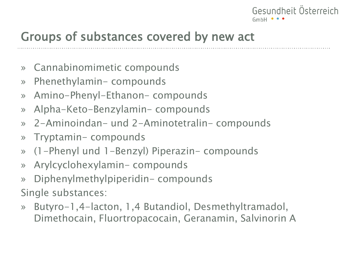### Groups of substances covered by new act

- » Cannabinomimetic compounds
- » Phenethylamin- compounds
- » Amino-Phenyl-Ethanon- compounds
- » Alpha-Keto-Benzylamin- compounds
- » 2-Aminoindan- und 2-Aminotetralin- compounds
- » Tryptamin- compounds
- » (1-Phenyl und 1-Benzyl) Piperazin- compounds
- » Arylcyclohexylamin- compounds
- » Diphenylmethylpiperidin- compounds

Single substances:

» Butyro-1,4-lacton, 1,4 Butandiol, Desmethyltramadol, Dimethocain, Fluortropacocain, Geranamin, Salvinorin A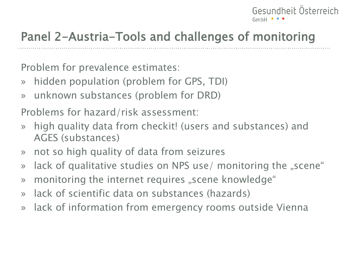# Panel 2-Austria-Tools and challenges of monitoring

Problem for prevalence estimates:

- » hidden population (problem for GPS, TDI)
- » unknown substances (problem for DRD)

Problems for hazard/risk assessment:

- » high quality data from checkit! (users and substances) and AGES (substances)
- » not so high quality of data from seizures
- » lack of qualitative studies on NPS use/ monitoring the "scene"
- » monitoring the internet requires "scene knowledge"
- » lack of scientific data on substances (hazards)
- » lack of information from emergency rooms outside Vienna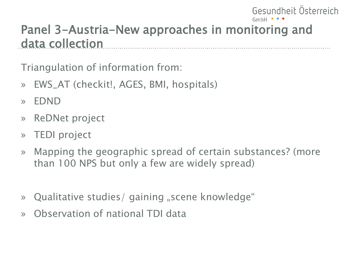# Panel 3-Austria-New approaches in monitoring and data collection

Gesundheit Österreich

Triangulation of information from:

- » EWS\_AT (checkit!, AGES, BMI, hospitals)
- » EDND
- » ReDNet project
- » TEDI project
- » Mapping the geographic spread of certain substances? (more than 100 NPS but only a few are widely spread)
- » Qualitative studies/ gaining "scene knowledge"
- » Observation of national TDI data